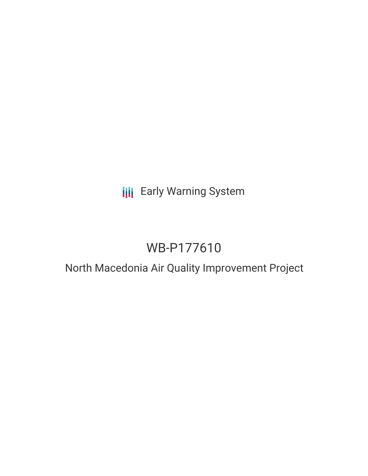## **III** Early Warning System

# WB-P177610

### North Macedonia Air Quality Improvement Project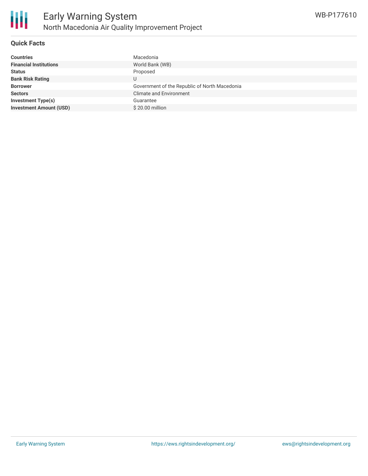

#### **Quick Facts**

| <b>Countries</b>               | Macedonia                                     |
|--------------------------------|-----------------------------------------------|
| <b>Financial Institutions</b>  | World Bank (WB)                               |
| <b>Status</b>                  | Proposed                                      |
| <b>Bank Risk Rating</b>        |                                               |
| <b>Borrower</b>                | Government of the Republic of North Macedonia |
| <b>Sectors</b>                 | <b>Climate and Environment</b>                |
| Investment Type(s)             | Guarantee                                     |
| <b>Investment Amount (USD)</b> | \$20.00 million                               |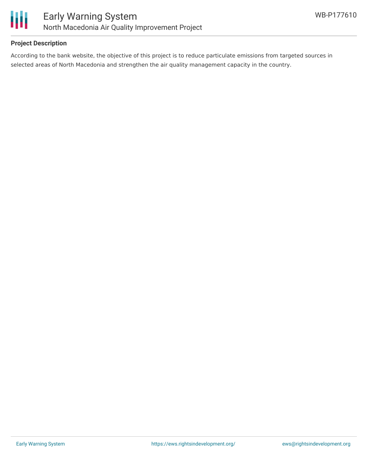

#### **Project Description**

According to the bank website, the objective of this project is to reduce particulate emissions from targeted sources in selected areas of North Macedonia and strengthen the air quality management capacity in the country.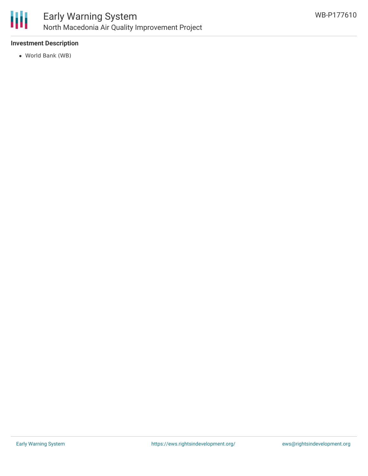

#### **Investment Description**

World Bank (WB)